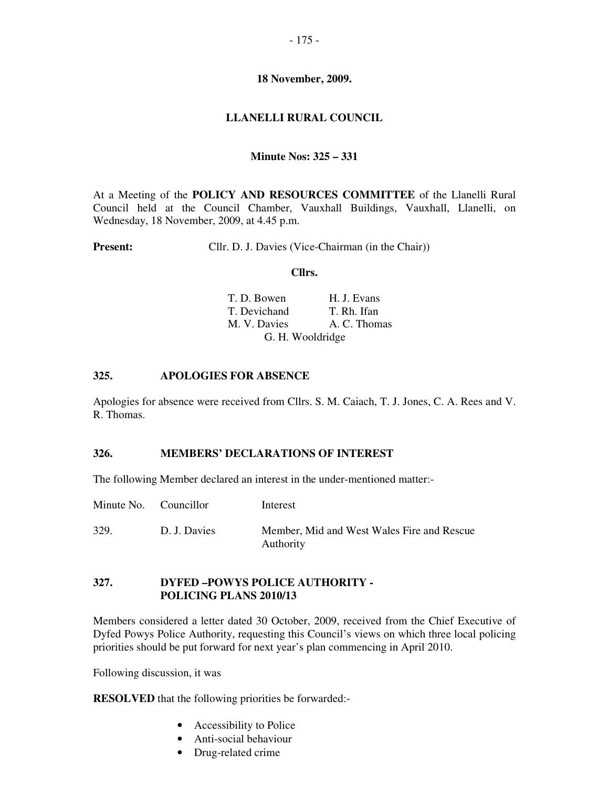## **18 November, 2009.**

## **LLANELLI RURAL COUNCIL**

## **Minute Nos: 325 – 331**

At a Meeting of the **POLICY AND RESOURCES COMMITTEE** of the Llanelli Rural Council held at the Council Chamber, Vauxhall Buildings, Vauxhall, Llanelli, on Wednesday, 18 November, 2009, at 4.45 p.m.

**Present:** Cllr. D. J. Davies (Vice-Chairman (in the Chair))

#### **Cllrs.**

| T. D. Bowen      | H. J. Evans  |
|------------------|--------------|
| T. Devichand     | T. Rh. Ifan  |
| M. V. Davies     | A. C. Thomas |
| G. H. Wooldridge |              |

## **325. APOLOGIES FOR ABSENCE**

Apologies for absence were received from Cllrs. S. M. Caiach, T. J. Jones, C. A. Rees and V. R. Thomas.

### **326. MEMBERS' DECLARATIONS OF INTEREST**

The following Member declared an interest in the under-mentioned matter:-

| Minute No. Councillor |              | Interest                                                |
|-----------------------|--------------|---------------------------------------------------------|
| 329                   | D. J. Davies | Member, Mid and West Wales Fire and Rescue<br>Authority |

### **327. DYFED –POWYS POLICE AUTHORITY - POLICING PLANS 2010/13**

Members considered a letter dated 30 October, 2009, received from the Chief Executive of Dyfed Powys Police Authority, requesting this Council's views on which three local policing priorities should be put forward for next year's plan commencing in April 2010.

Following discussion, it was

**RESOLVED** that the following priorities be forwarded:-

- Accessibility to Police
- Anti-social behaviour
- Drug-related crime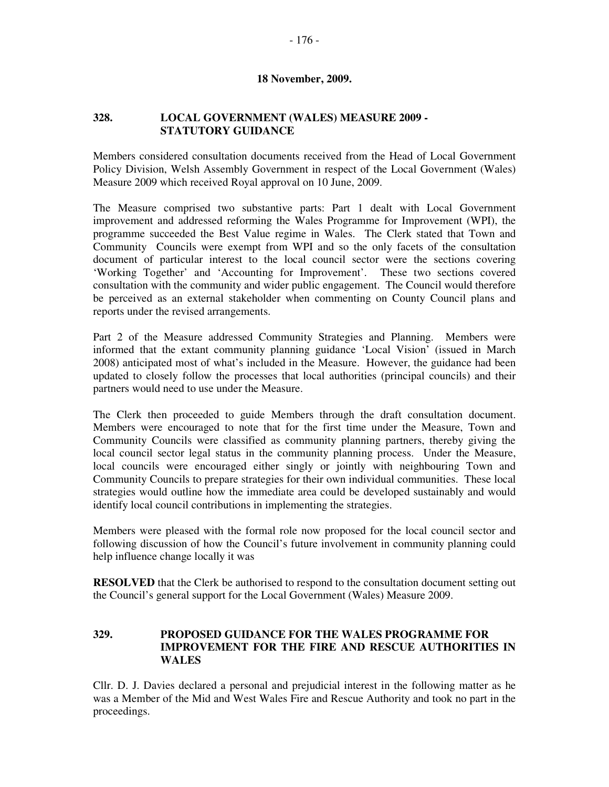### **18 November, 2009.**

### **328. LOCAL GOVERNMENT (WALES) MEASURE 2009 - STATUTORY GUIDANCE**

Members considered consultation documents received from the Head of Local Government Policy Division, Welsh Assembly Government in respect of the Local Government (Wales) Measure 2009 which received Royal approval on 10 June, 2009.

The Measure comprised two substantive parts: Part 1 dealt with Local Government improvement and addressed reforming the Wales Programme for Improvement (WPI), the programme succeeded the Best Value regime in Wales. The Clerk stated that Town and Community Councils were exempt from WPI and so the only facets of the consultation document of particular interest to the local council sector were the sections covering 'Working Together' and 'Accounting for Improvement'. These two sections covered consultation with the community and wider public engagement. The Council would therefore be perceived as an external stakeholder when commenting on County Council plans and reports under the revised arrangements.

Part 2 of the Measure addressed Community Strategies and Planning. Members were informed that the extant community planning guidance 'Local Vision' (issued in March 2008) anticipated most of what's included in the Measure. However, the guidance had been updated to closely follow the processes that local authorities (principal councils) and their partners would need to use under the Measure.

The Clerk then proceeded to guide Members through the draft consultation document. Members were encouraged to note that for the first time under the Measure, Town and Community Councils were classified as community planning partners, thereby giving the local council sector legal status in the community planning process. Under the Measure, local councils were encouraged either singly or jointly with neighbouring Town and Community Councils to prepare strategies for their own individual communities. These local strategies would outline how the immediate area could be developed sustainably and would identify local council contributions in implementing the strategies.

Members were pleased with the formal role now proposed for the local council sector and following discussion of how the Council's future involvement in community planning could help influence change locally it was

**RESOLVED** that the Clerk be authorised to respond to the consultation document setting out the Council's general support for the Local Government (Wales) Measure 2009.

## **329. PROPOSED GUIDANCE FOR THE WALES PROGRAMME FOR IMPROVEMENT FOR THE FIRE AND RESCUE AUTHORITIES IN WALES**

Cllr. D. J. Davies declared a personal and prejudicial interest in the following matter as he was a Member of the Mid and West Wales Fire and Rescue Authority and took no part in the proceedings.